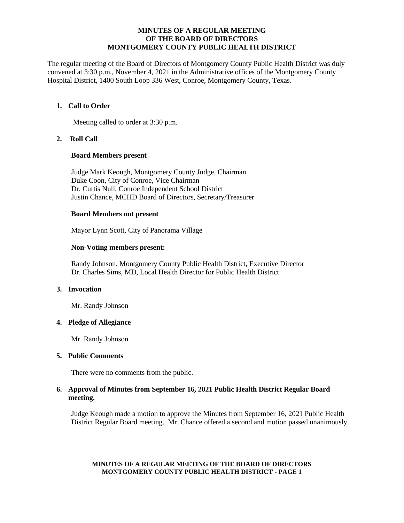#### **MINUTES OF A REGULAR MEETING OF THE BOARD OF DIRECTORS MONTGOMERY COUNTY PUBLIC HEALTH DISTRICT**

The regular meeting of the Board of Directors of Montgomery County Public Health District was duly convened at 3:30 p.m., November 4, 2021 in the Administrative offices of the Montgomery County Hospital District, 1400 South Loop 336 West, Conroe, Montgomery County, Texas.

## **1. Call to Order**

Meeting called to order at 3:30 p.m.

## **2. Roll Call**

#### **Board Members present**

Judge Mark Keough, Montgomery County Judge, Chairman Duke Coon, City of Conroe, Vice Chairman Dr. Curtis Null, Conroe Independent School District Justin Chance, MCHD Board of Directors, Secretary/Treasurer

#### **Board Members not present**

Mayor Lynn Scott, City of Panorama Village

## **Non-Voting members present:**

Randy Johnson, Montgomery County Public Health District, Executive Director Dr. Charles Sims, MD, Local Health Director for Public Health District

## **3. Invocation**

Mr. Randy Johnson

#### **4. Pledge of Allegiance**

Mr. Randy Johnson

#### **5. Public Comments**

There were no comments from the public.

## **6. Approval of Minutes from September 16, 2021 Public Health District Regular Board meeting.**

Judge Keough made a motion to approve the Minutes from September 16, 2021 Public Health District Regular Board meeting. Mr. Chance offered a second and motion passed unanimously.

#### **MINUTES OF A REGULAR MEETING OF THE BOARD OF DIRECTORS MONTGOMERY COUNTY PUBLIC HEALTH DISTRICT - PAGE 1**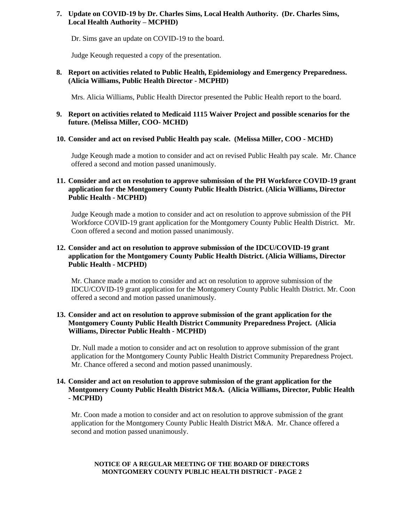# **7. Update on COVID-19 by Dr. Charles Sims, Local Health Authority. (Dr. Charles Sims, Local Health Authority – MCPHD)**

Dr. Sims gave an update on COVID-19 to the board.

Judge Keough requested a copy of the presentation.

## **8. Report on activities related to Public Health, Epidemiology and Emergency Preparedness. (Alicia Williams, Public Health Director - MCPHD)**

Mrs. Alicia Williams, Public Health Director presented the Public Health report to the board.

## **9. Report on activities related to Medicaid 1115 Waiver Project and possible scenarios for the future. (Melissa Miller, COO- MCHD)**

## **10. Consider and act on revised Public Health pay scale. (Melissa Miller, COO - MCHD)**

Judge Keough made a motion to consider and act on revised Public Health pay scale. Mr. Chance offered a second and motion passed unanimously.

## **11. Consider and act on resolution to approve submission of the PH Workforce COVID-19 grant application for the Montgomery County Public Health District. (Alicia Williams, Director Public Health - MCPHD)**

Judge Keough made a motion to consider and act on resolution to approve submission of the PH Workforce COVID-19 grant application for the Montgomery County Public Health District. Mr. Coon offered a second and motion passed unanimously.

# **12. Consider and act on resolution to approve submission of the IDCU/COVID-19 grant application for the Montgomery County Public Health District. (Alicia Williams, Director Public Health - MCPHD)**

Mr. Chance made a motion to consider and act on resolution to approve submission of the IDCU/COVID-19 grant application for the Montgomery County Public Health District. Mr. Coon offered a second and motion passed unanimously.

## **13. Consider and act on resolution to approve submission of the grant application for the Montgomery County Public Health District Community Preparedness Project. (Alicia Williams, Director Public Health - MCPHD)**

Dr. Null made a motion to consider and act on resolution to approve submission of the grant application for the Montgomery County Public Health District Community Preparedness Project. Mr. Chance offered a second and motion passed unanimously.

## **14. Consider and act on resolution to approve submission of the grant application for the Montgomery County Public Health District M&A. (Alicia Williams, Director, Public Health - MCPHD)**

Mr. Coon made a motion to consider and act on resolution to approve submission of the grant application for the Montgomery County Public Health District M&A. Mr. Chance offered a second and motion passed unanimously.

#### **NOTICE OF A REGULAR MEETING OF THE BOARD OF DIRECTORS MONTGOMERY COUNTY PUBLIC HEALTH DISTRICT - PAGE 2**